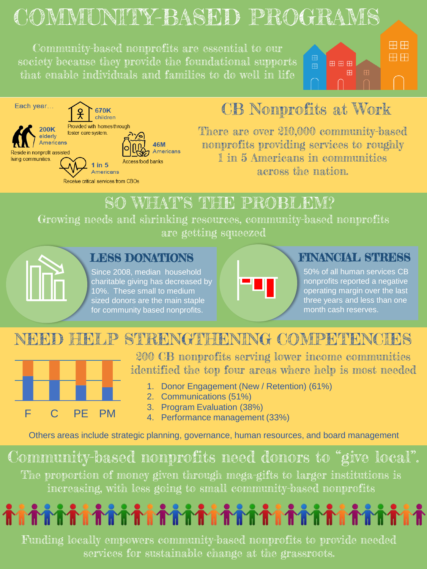# COMMUNITY-BASED PROGRAMS

Community-based nonprofits are essential to our society because they provide the foundational supports that enable individuals and families to do well in life





## CB Nonprofits at Work

There are over 210,000 community-based nonprofits providing services to roughly 1 in 5 Americans in communities across the nation.

### SO WHAT'S THE PROBLEM?

Growing needs and shrinking resources, community-based nonprofits are getting squeezed



#### LESS DONATIONS

Since 2008, median household charitable giving has decreased by 10%. These small to medium sized donors are the main staple for community based nonprofits.



#### FINANCIAL STRESS

50% of all human services CB nonprofits reported a negative operating margin over the last three years and less than one month cash reserves.

### NEED HELP STRENGTHENING COMPETENCIES



200 CB nonprofits serving lower income communities identified the top four areas where help is most needed

- 1. Donor Engagement (New / Retention) (61%)
- 2. Communications (51%)
- 3. Program Evaluation (38%)
- 4. Performance management (33%)

Others areas include strategic planning, governance, human resources, and board management

Community-based nonprofits need donors to "give local". The proportion of money given through mega-gifts to larger institutions is increasing, with less going to small community-based nonprofits



Funding locally empowers community-based nonprofits to provide needed services for sustainable change at the grassroots.